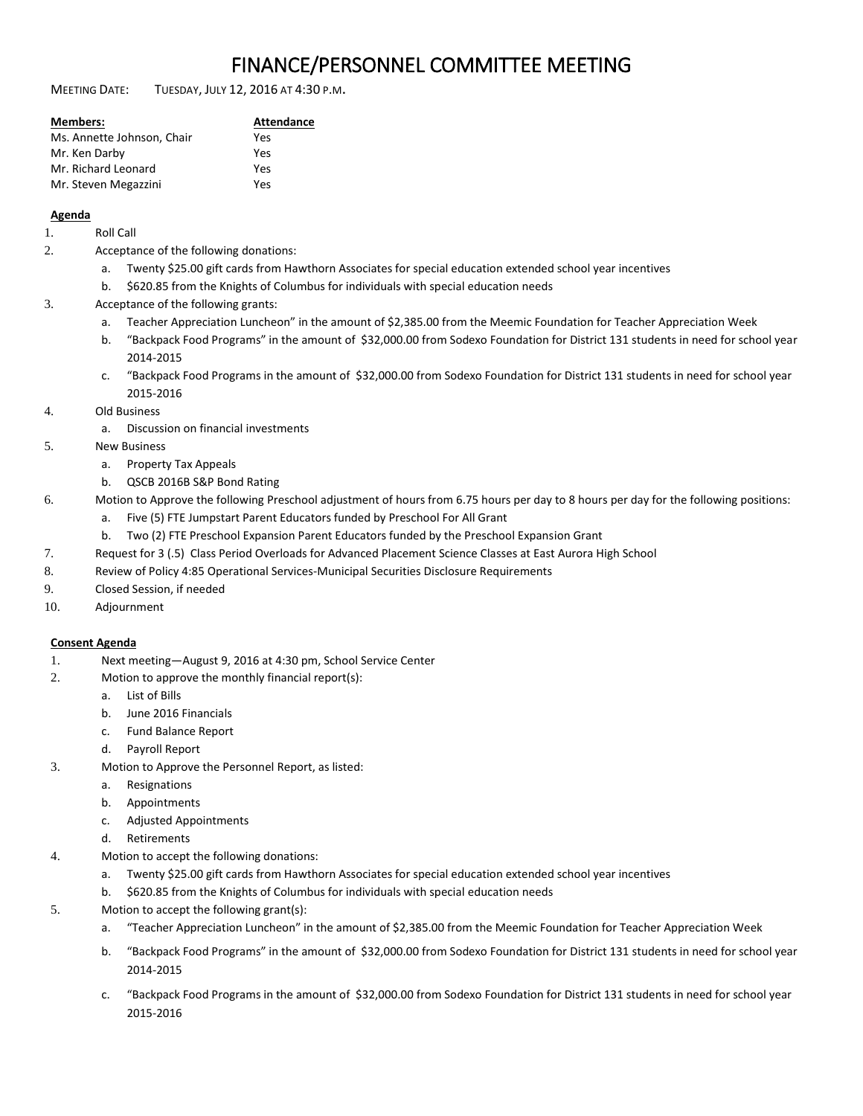# FINANCE/PERSONNEL COMMITTEE MEETING

MEETING DATE: TUESDAY, JULY 12, 2016 AT 4:30 <sup>P</sup>.M.

| <b>Members:</b>            | Attendance |
|----------------------------|------------|
| Ms. Annette Johnson, Chair | Yes        |
| Mr. Ken Darby              | Yes        |
| Mr. Richard Leonard        | Yes        |
| Mr. Steven Megazzini       | Yes        |

### **Agenda**

- 1. Roll Call
- 2. Acceptance of the following donations:
	- a. Twenty \$25.00 gift cards from Hawthorn Associates for special education extended school year incentives
	- b. \$620.85 from the Knights of Columbus for individuals with special education needs
- 3. Acceptance of the following grants:
	- a. Teacher Appreciation Luncheon" in the amount of \$2,385.00 from the Meemic Foundation for Teacher Appreciation Week
	- b. "Backpack Food Programs" in the amount of \$32,000.00 from Sodexo Foundation for District 131 students in need for school year 2014-2015
	- c. "Backpack Food Programs in the amount of \$32,000.00 from Sodexo Foundation for District 131 students in need for school year 2015-2016
- 4. Old Business
	- a. Discussion on financial investments
- 5. New Business
	- a. Property Tax Appeals
	- b. QSCB 2016B S&P Bond Rating
- 6. Motion to Approve the following Preschool adjustment of hours from 6.75 hours per day to 8 hours per day for the following positions:
	- a. Five (5) FTE Jumpstart Parent Educators funded by Preschool For All Grant
	- b. Two (2) FTE Preschool Expansion Parent Educators funded by the Preschool Expansion Grant
- 7. Request for 3 (.5) Class Period Overloads for Advanced Placement Science Classes at East Aurora High School
- 8. Review of Policy 4:85 Operational Services-Municipal Securities Disclosure Requirements
- 9. Closed Session, if needed
- 10. Adjournment

## **Consent Agenda**

- 1. Next meeting—August 9, 2016 at 4:30 pm, School Service Center
- 2. Motion to approve the monthly financial report(s):
	- a. List of Bills
	- b. June 2016 Financials
	- c. Fund Balance Report
	- d. Payroll Report
- 3. Motion to Approve the Personnel Report, as listed:
	- a. Resignations
	- b. Appointments
	- c. Adjusted Appointments
	- d. Retirements
- 4. Motion to accept the following donations:
	- a. Twenty \$25.00 gift cards from Hawthorn Associates for special education extended school year incentives
	- b. \$620.85 from the Knights of Columbus for individuals with special education needs
- 5. Motion to accept the following grant(s):
	- a. "Teacher Appreciation Luncheon" in the amount of \$2,385.00 from the Meemic Foundation for Teacher Appreciation Week
	- b. "Backpack Food Programs" in the amount of \$32,000.00 from Sodexo Foundation for District 131 students in need for school year 2014-2015
	- c. "Backpack Food Programs in the amount of \$32,000.00 from Sodexo Foundation for District 131 students in need for school year 2015-2016